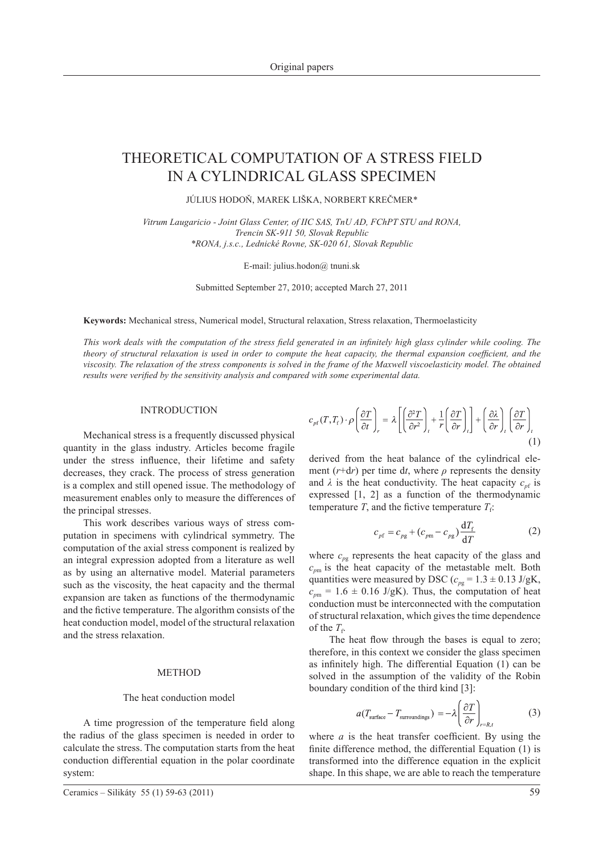# THEORETICAL COMPUTATION OF A STRESS FIELD IN A CYLINDRICAL GLASS SPECIMEN

JÚLIUS HODOŇ, MAREK LIŠKA, NORBERT KREČMER\*

*Vitrum Laugaricio - Joint Glass Center, of IIC SAS, TnU AD, FChPT STU and RONA, Trencin SK-911 50, Slovak Republic \*RONA, j.s.c., Lednické Rovne, SK-020 61, Slovak Republic*

E-mail: julius.hodon@ tnuni.sk

Submitted September 27, 2010; accepted March 27, 2011

**Keywords:** Mechanical stress, Numerical model, Structural relaxation, Stress relaxation, Thermoelasticity

*This work deals with the computation of the stress field generated in an infinitely high glass cylinder while cooling. The theory of structural relaxation is used in order to compute the heat capacity, the thermal expansion coefficient, and the viscosity. The relaxation of the stress components is solved in the frame of the Maxwell viscoelasticity model. The obtained results were verified by the sensitivity analysis and compared with some experimental data.*

### INTRODUCTION

Mechanical stress is a frequently discussed physical quantity in the glass industry. Articles become fragile under the stress influence, their lifetime and safety decreases, they crack. The process of stress generation is a complex and still opened issue. The methodology of measurement enables only to measure the differences of the principal stresses.

This work describes various ways of stress computation in specimens with cylindrical symmetry. The computation of the axial stress component is realized by an integral expression adopted from a literature as well as by using an alternative model. Material parameters such as the viscosity, the heat capacity and the thermal expansion are taken as functions of the thermodynamic and the fictive temperature. The algorithm consists of the heat conduction model, model of the structural relaxation and the stress relaxation.

## **METHOD**

#### The heat conduction model

A time progression of the temperature field along the radius of the glass specimen is needed in order to calculate the stress. The computation starts from the heat conduction differential equation in the polar coordinate system:

$$
\begin{array}{c}\n\text{for the } T_{\text{f}} \\
\text{the heat flow through the base}\n\end{array}
$$

es is equal to zero; therefore, in this context we consider the glass specimen as infinitely high. The differential Equation (1) can be solved in the assumption of the validity of the Robin boundary condition of the third kind [3]:

$$
a(T_{\text{surface}} - T_{\text{surroundings}}) = -\lambda \left(\frac{\partial T}{\partial r}\right)_{r=R,t}
$$
 (3)

where  $a$  is the heat transfer coefficient. By using the finite difference method, the differential Equation (1) is transformed into the difference equation in the explicit shape. In this shape, we are able to reach the temperature

(2)

 $c_{p\text{f}}(T,T_{\text{f}})\cdot \rho\left(\frac{\partial T}{\partial t}\right) = \lambda \left[\left(\frac{\partial^2 T}{\partial r^2}\right) + \frac{1}{r}\left(\frac{\partial T}{\partial r}\right)\right] + \left(\frac{\partial \lambda}{\partial r}\right)\left(\frac{\partial T}{\partial r}\right)$ (1)

derived from the heat balance of the cylindrical element  $(r+dr)$  per time dt, where  $\rho$  represents the density and  $\lambda$  is the heat conductivity. The heat capacity  $c_{\text{nf}}$  is

$$
c_{\rho f}(I, I_f) \cdot \rho \left(\frac{\partial}{\partial t}\right)_r = \lambda \left[\left(\frac{\partial r^2}{\partial t^2}\right)_t + \frac{1}{r} \left(\frac{\partial}{\partial r}\right)_t\right] + \left(\frac{\partial}{\partial r}\right)_t \left(\frac{\partial}{\partial r}\right)_r
$$
\nderived from the heat balance of the cylindrical

temperature *T*, and the fictive temperature  $T_f$ :

$$
r^{2} \left( \frac{\partial r}{\partial r} \right)_{r}^{r} \left[ \left( \frac{\partial r^{2}}{\partial r^{2}} \right)_{t}^{r} r \left( \frac{\partial r}{\partial r} \right)_{t}^{r} \left( \frac{\partial r}{\partial r} \right)_{t} \right]
$$
  
ived from the heat balance of the cylindrical

expressed [1, 2] as a function of the thermodynamic

where  $c_{pg}$  represents the heat capacity of the glass and  $c_{\text{pm}}$  is the heat capacity of the metastable melt. Both quantities were measured by DSC ( $c_{pg}$  = 1.3  $\pm$  0.13 J/gK,  $c_{\text{pm}}$  = 1.6  $\pm$  0.16 J/gK). Thus, the computation of heat conduction must be interconnected with the computation of structural relaxation, which gives the time dependence

 $c_{pf} = c_{pg} + (c_{pm} - c_{pg}) \frac{dT_f}{dT}$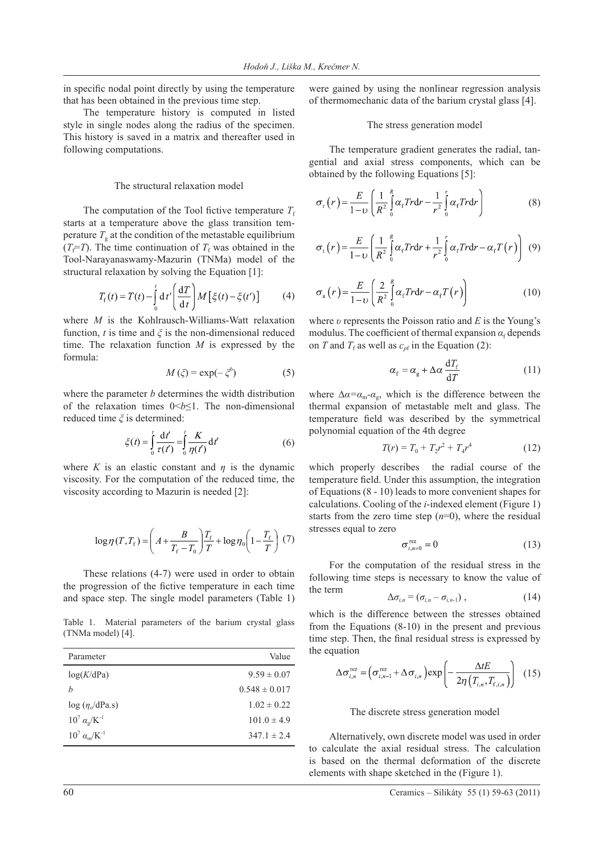in specific nodal point directly by using the temperature that has been obtained in the previous time step.

The temperature history is computed in listed style in single nodes along the radius of the specimen. This history is saved in a matrix and thereafter used in following computations.

## The structural relaxation model

The computation of the Tool fictive temperature  $T_f$ starts at a temperature above the glass transition temperature  $T<sub>g</sub>$  at the condition of the metastable equilibrium  $(T_f = T)$ . The time continuation of  $T_f$  was obtained in the Tool-Narayanaswamy-Mazurin (TNMa) model of the structural relaxation by solving the Equation [1]:

$$
T_{\rm f}(t) = T(t) - \int_0^t \mathrm{d}t' \left(\frac{\mathrm{d}T}{\mathrm{d}t}\right) M\left[\xi(t) - \xi(t')\right] \tag{4}
$$

where *M* is the Kohlrausch-Williams-Watt relaxation function, *t* is time and  $\xi$  is the non-dimensional reduced time. The relaxation function *M* is expressed by the formula:

$$
M(\xi) = \exp(-\xi^b)
$$
 (5)

where the parameter *b* determines the width distribution of the relaxation times 0<*b*≤1. The non-dimensional reduced time *ξ* is determined:

$$
\xi(t) = \int_0^t \frac{\mathrm{d}t'}{\tau(t')} = \int_0^t \frac{K}{\eta(t')} \mathrm{d}t'
$$
\n(6)

where *K* is an elastic constant and  $\eta$  is the dynamic viscosity. For the computation of the reduced time, the viscosity according to Mazurin is needed [2]:

$$
\log \eta(T, T_{\rm f}) = \left(A + \frac{B}{T_{\rm f} - T_0}\right) \frac{T_{\rm f}}{T} + \log \eta_0 \left(1 - \frac{T_{\rm f}}{T}\right) (7)
$$

These relations (4-7) were used in order to obtain the progression of the fictive temperature in each time and space step. The single model parameters (Table 1)

Table 1. Material parameters of the barium crystal glass (TNMa model) [4].

| Parameter                      | Value             |
|--------------------------------|-------------------|
| log(K/dPa)                     | $9.59 \pm 0.07$   |
| h                              | $0.548 \pm 0.017$ |
| $log(\eta/dPa.s)$              | $1.02 \pm 0.22$   |
| $10^7 \alpha_{\rm g} / K^{-1}$ | $101.0 \pm 4.9$   |
| $10^7 \alpha_{\rm m}/K^{-1}$   | $347.1 \pm 2.4$   |
|                                |                   |

were gained by using the nonlinear regression analysis of thermomechanic data of the barium crystal glass [4].

### The stress generation model

The temperature gradient generates the radial, tangential and axial stress components, which can be obtained by the following Equations [5]:

$$
\sigma_{\rm r}(r) = \frac{E}{1 - \upsilon} \left( \frac{1}{R^2} \int_0^R \alpha_{\rm r} \, \text{Tr} \, \mathrm{d}r - \frac{1}{r^2} \int_0^r \alpha_{\rm r} \, \text{Tr} \, \mathrm{d}r \right) \tag{8}
$$

$$
\sigma_{\rm t}(r) = \frac{E}{1 - \upsilon} \left( \frac{1}{R^2} \int_0^R \alpha_{\rm r} \, \text{Tr} \, \mathrm{d}r + \frac{1}{r^2} \int_0^r \alpha_{\rm r} \, \text{Tr} \, \mathrm{d}r - \alpha_{\rm r} \, \text{T}(r) \right) \tag{9}
$$

$$
\sigma_{\rm a}(r) = \frac{E}{1-\nu} \left( \frac{2}{R^2} \int_0^R \alpha_{\rm f} \, Tr \, dr - \alpha_{\rm f} \, T(r) \right) \tag{10}
$$

where *υ* represents the Poisson ratio and *E* is the Young's modulus. The coefficient of thermal expansion  $\alpha_f$  depends on *T* and  $T_f$  as well as  $c_{pf}$  in the Equation (2):

$$
\alpha_{\rm f} = \alpha_{\rm g} + \Delta \alpha \frac{\mathrm{d}T_{\rm f}}{\mathrm{d}T} \tag{11}
$$

where  $\Delta \alpha = \alpha_m - \alpha_g$ , which is the difference between the thermal expansion of metastable melt and glass. The temperature field was described by the symmetrical polynomial equation of the 4th degree

$$
T(r) = T_0 + T_2 r^2 + T_4 r^4 \tag{12}
$$

which properly describes the radial course of the temperature field. Under this assumption, the integration of Equations (8 - 10) leads to more convenient shapes for calculations. Cooling of the *i*-indexed element (Figure 1) starts from the zero time step  $(n=0)$ , where the residual stresses equal to zero

$$
\sigma_{i,n=0}^{\text{rez}} = 0 \tag{13}
$$

For the computation of the residual stress in the following time steps is necessary to know the value of the term

$$
\Delta \sigma_{i,n} = (\sigma_{i,n} - \sigma_{i,n-1}), \qquad (14)
$$

which is the difference between the stresses obtained from the Equations (8-10) in the present and previous time step. Then, the final residual stress is expressed by the equation

$$
\Delta \sigma_{i,n}^{\text{rez}} = \left( \sigma_{i,n-1}^{\text{rez}} + \Delta \sigma_{i,n} \right) \exp \left( -\frac{\Delta t E}{2\eta \left( T_{i,n}, T_{f,i,n} \right)} \right) \tag{15}
$$

## The discrete stress generation model

Alternatively, own discrete model was used in order to calculate the axial residual stress. The calculation is based on the thermal deformation of the discrete elements with shape sketched in the (Figure 1).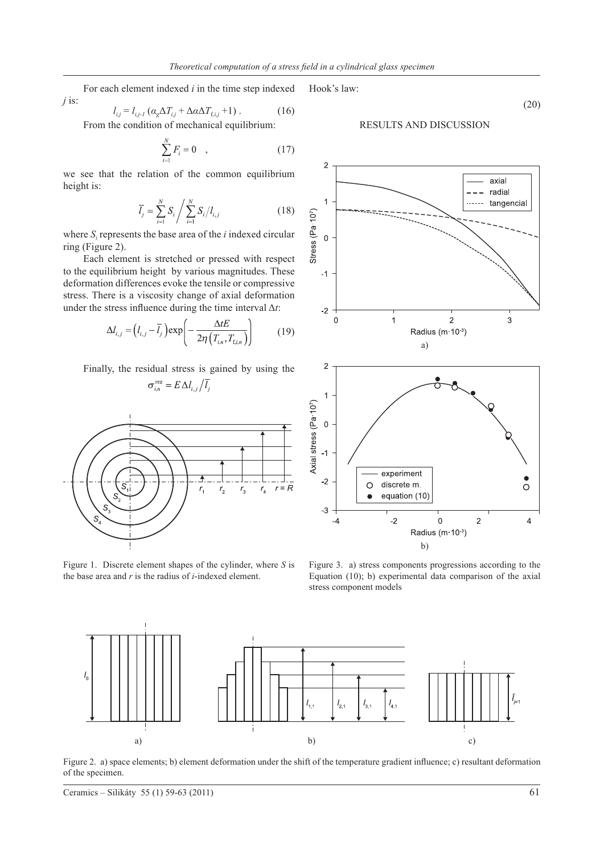For each element indexed *i* in the time step indexed *j* is:

$$
l_{ij} = l_{ij-l} \left( \alpha_{g} \Delta T_{ij} + \Delta \alpha \Delta T_{f,ij} + 1 \right). \tag{16}
$$

From the condition of mechanical equilibrium:

$$
\sum_{i=1}^{N} F_i = 0 \quad , \tag{17}
$$

we see that the relation of the common equilibrium height is:

$$
\overline{l}_{j} = \sum_{i=1}^{N} S_{i} / \sum_{i=1}^{N} S_{i} / l_{i,j}
$$
\n(18)

where *Si* represents the base area of the *i* indexed circular ring (Figure 2).

Each element is stretched or pressed with respect to the equilibrium height by various magnitudes. These deformation differences evoke the tensile or compressive stress. There is a viscosity change of axial deformation under the stress influence during the time interval Δ*t*:

$$
\Delta l_{i,j} = \left(l_{i,j} - \overline{l}_j\right) \exp\left(-\frac{\Delta t E}{2\eta \left(T_{i,n}, T_{\text{f},i,n}\right)}\right) \tag{19}
$$

Finally, the residual stress is gained by using the

 $\sigma_{i,n}^{\text{rez}}$ 

$$
= E \Delta l_{i} / \overline{l_i}
$$



Figure 1. Discrete element shapes of the cylinder, where *S* is the base area and *r* is the radius of *i*-indexed element.

Hook's law:

RESULTS AND DISCUSSION



Figure 3. a) stress components progressions according to the Equation (10); b) experimental data comparison of the axial stress component models



Figure 2. a) space elements; b) element deformation under the shift of the temperature gradient influence; c) resultant deformation of the specimen.

(20)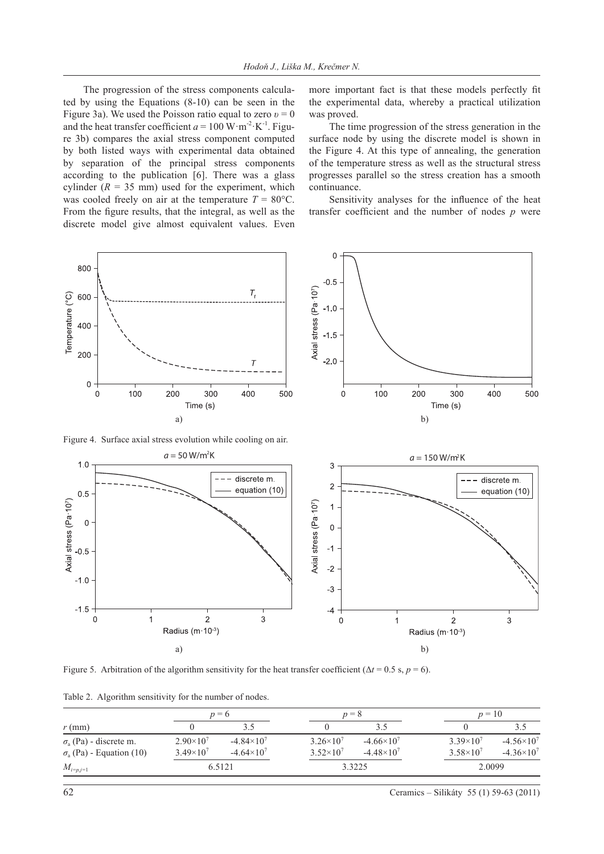The progression of the stress components calculated by using the Equations (8-10) can be seen in the Figure 3a). We used the Poisson ratio equal to zero *υ* = 0 and the heat transfer coefficient  $a = 100 \text{ W} \cdot \text{m}^{-2} \cdot \text{K}^{-1}$ . Figure 3b) compares the axial stress component computed by both listed ways with experimental data obtained by separation of the principal stress components according to the publication [6]. There was a glass cylinder  $(R = 35$  mm) used for the experiment, which was cooled freely on air at the temperature  $T = 80^{\circ}$ C. From the figure results, that the integral, as well as the discrete model give almost equivalent values. Even

more important fact is that these models perfectly fit the experimental data, whereby a practical utilization was proved.

The time progression of the stress generation in the surface node by using the discrete model is shown in the Figure 4. At this type of annealing, the generation of the temperature stress as well as the structural stress progresses parallel so the stress creation has a smooth continuance.

Sensitivity analyses for the influence of the heat transfer coefficient and the number of nodes *p* were



Figure 4. Surface axial stress evolution while cooling on air.



Figure 5. Arbitration of the algorithm sensitivity for the heat transfer coefficient ( $\Delta t = 0.5$  s,  $p = 6$ ).

Table 2. Algorithm sensitivity for the number of nodes.

|                                            | $p=6$              |                       | $p = 8$            |                       | $p = 10$             |                       |
|--------------------------------------------|--------------------|-----------------------|--------------------|-----------------------|----------------------|-----------------------|
| $r$ (mm)                                   |                    |                       |                    | 3.5                   |                      | 3.5                   |
| $\sigma$ <sub>a</sub> (Pa) - discrete m.   | $2.90\times10^{7}$ | $-4.84 \times 10^{7}$ | $3.26 \times 10^7$ | $-4.66 \times 10^{7}$ | $3.39\times10^{7}$   | $-4.56 \times 10^{7}$ |
| $\sigma$ <sub>a</sub> (Pa) - Equation (10) | $3.49\times10^{7}$ | $-4.64 \times 10^{7}$ | $3.52\times10^{7}$ | $-4.48 \times 10^{7}$ | $3.58 \times 10^{7}$ | $-4.36 \times 10^{7}$ |
| $M_{i=p,j=1}$                              | 6.5121             |                       | 3.3225             |                       | 2.0099               |                       |

62 Ceramics – Silikáty 55 (1) 59-63 (2011)